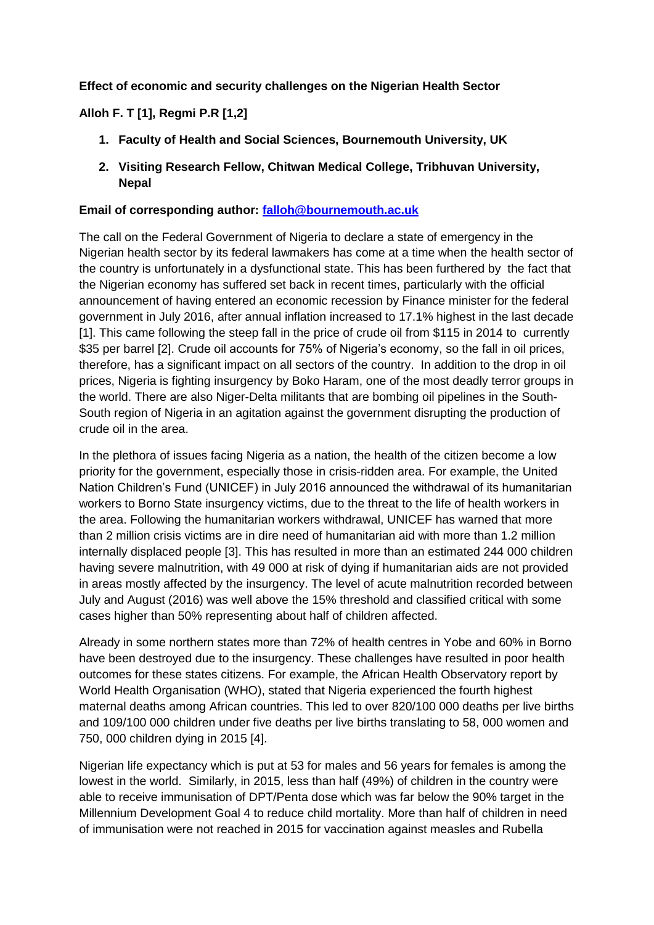## **Effect of economic and security challenges on the Nigerian Health Sector**

## **Alloh F. T [1], Regmi P.R [1,2]**

- **1. Faculty of Health and Social Sciences, Bournemouth University, UK**
- **2. Visiting Research Fellow, Chitwan Medical College, Tribhuvan University, Nepal**

## **Email of corresponding author: [falloh@bournemouth.ac.uk](mailto:falloh@bournemouth.ac.uk)**

The call on the Federal Government of Nigeria to declare a state of emergency in the Nigerian health sector by its federal lawmakers has come at a time when the health sector of the country is unfortunately in a dysfunctional state. This has been furthered by the fact that the Nigerian economy has suffered set back in recent times, particularly with the official announcement of having entered an economic recession by Finance minister for the federal government in July 2016, after annual inflation increased to 17.1% highest in the last decade [1]. This came following the steep fall in the price of crude oil from \$115 in 2014 to currently \$35 per barrel [2]. Crude oil accounts for 75% of Nigeria's economy, so the fall in oil prices, therefore, has a significant impact on all sectors of the country. In addition to the drop in oil prices, Nigeria is fighting insurgency by Boko Haram, one of the most deadly terror groups in the world. There are also Niger-Delta militants that are bombing oil pipelines in the South-South region of Nigeria in an agitation against the government disrupting the production of crude oil in the area.

In the plethora of issues facing Nigeria as a nation, the health of the citizen become a low priority for the government, especially those in crisis-ridden area. For example, the United Nation Children's Fund (UNICEF) in July 2016 announced the withdrawal of its humanitarian workers to Borno State insurgency victims, due to the threat to the life of health workers in the area. Following the humanitarian workers withdrawal, UNICEF has warned that more than 2 million crisis victims are in dire need of humanitarian aid with more than 1.2 million internally displaced people [3]. This has resulted in more than an estimated 244 000 children having severe malnutrition, with 49 000 at risk of dying if humanitarian aids are not provided in areas mostly affected by the insurgency. The level of acute malnutrition recorded between July and August (2016) was well above the 15% threshold and classified critical with some cases higher than 50% representing about half of children affected.

Already in some northern states more than 72% of health centres in Yobe and 60% in Borno have been destroyed due to the insurgency. These challenges have resulted in poor health outcomes for these states citizens. For example, the African Health Observatory report by World Health Organisation (WHO), stated that Nigeria experienced the fourth highest maternal deaths among African countries. This led to over 820/100 000 deaths per live births and 109/100 000 children under five deaths per live births translating to 58, 000 women and 750, 000 children dying in 2015 [4].

Nigerian life expectancy which is put at 53 for males and 56 years for females is among the lowest in the world. Similarly, in 2015, less than half (49%) of children in the country were able to receive immunisation of DPT/Penta dose which was far below the 90% target in the Millennium Development Goal 4 to reduce child mortality. More than half of children in need of immunisation were not reached in 2015 for vaccination against measles and Rubella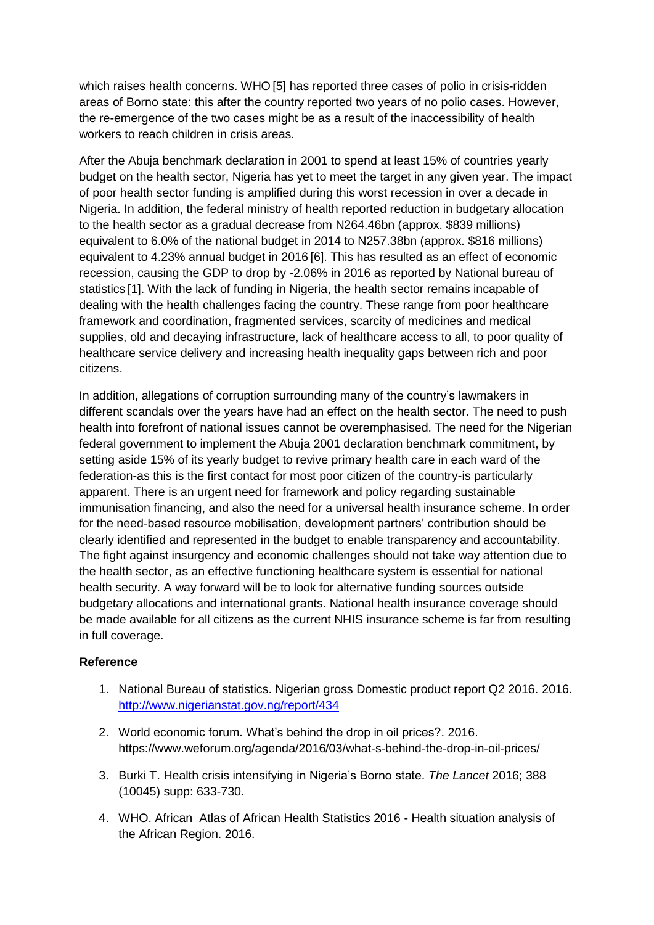which raises health concerns. WHO [5] has reported three cases of polio in crisis-ridden areas of Borno state: this after the country reported two years of no polio cases. However, the re-emergence of the two cases might be as a result of the inaccessibility of health workers to reach children in crisis areas.

After the Abuja benchmark declaration in 2001 to spend at least 15% of countries yearly budget on the health sector, Nigeria has yet to meet the target in any given year. The impact of poor health sector funding is amplified during this worst recession in over a decade in Nigeria. In addition, the federal ministry of health reported reduction in budgetary allocation to the health sector as a gradual decrease from N264.46bn (approx. \$839 millions) equivalent to 6.0% of the national budget in 2014 to N257.38bn (approx. \$816 millions) equivalent to 4.23% annual budget in 2016 [6]. This has resulted as an effect of economic recession, causing the GDP to drop by -2.06% in 2016 as reported by National bureau of statistics [1]. With the lack of funding in Nigeria, the health sector remains incapable of dealing with the health challenges facing the country. These range from poor healthcare framework and coordination, fragmented services, scarcity of medicines and medical supplies, old and decaying infrastructure, lack of healthcare access to all, to poor quality of healthcare service delivery and increasing health inequality gaps between rich and poor citizens.

In addition, allegations of corruption surrounding many of the country's lawmakers in different scandals over the years have had an effect on the health sector. The need to push health into forefront of national issues cannot be overemphasised. The need for the Nigerian federal government to implement the Abuja 2001 declaration benchmark commitment, by setting aside 15% of its yearly budget to revive primary health care in each ward of the federation-as this is the first contact for most poor citizen of the country-is particularly apparent. There is an urgent need for framework and policy regarding sustainable immunisation financing, and also the need for a universal health insurance scheme. In order for the need-based resource mobilisation, development partners' contribution should be clearly identified and represented in the budget to enable transparency and accountability. The fight against insurgency and economic challenges should not take way attention due to the health sector, as an effective functioning healthcare system is essential for national health security. A way forward will be to look for alternative funding sources outside budgetary allocations and international grants. National health insurance coverage should be made available for all citizens as the current NHIS insurance scheme is far from resulting in full coverage.

## **Reference**

- 1. National Bureau of statistics. Nigerian gross Domestic product report Q2 2016. 2016. <http://www.nigerianstat.gov.ng/report/434>
- 2. World economic forum. What's behind the drop in oil prices?. 2016. https://www.weforum.org/agenda/2016/03/what-s-behind-the-drop-in-oil-prices/
- 3. Burki T. Health crisis intensifying in Nigeria's Borno state. *The Lancet* 2016; 388 (10045) supp: 633-730.
- 4. WHO. African Atlas of African Health Statistics 2016 Health situation analysis of the African Region. 2016.